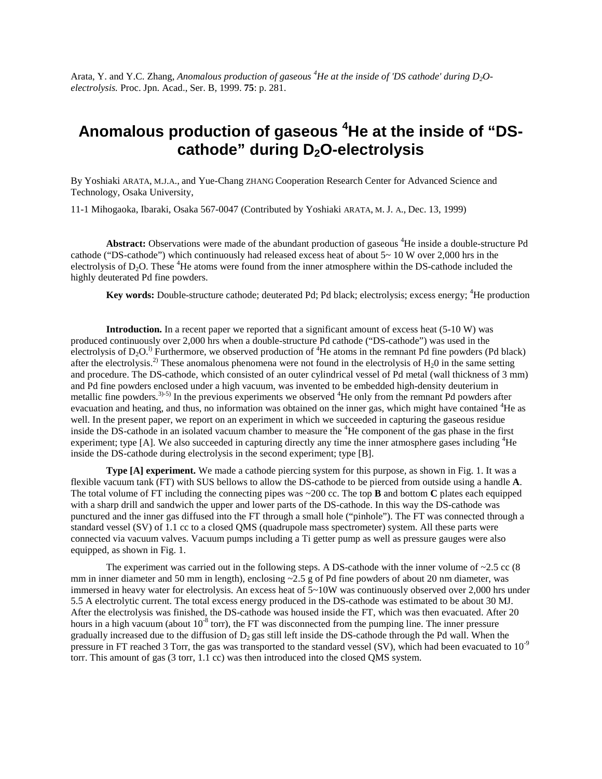Arata, Y. and Y.C. Zhang, *Anomalous production of gaseous <sup>4</sup>He at the inside of 'DS cathode' during D2Oelectrolysis.* Proc. Jpn. Acad., Ser. B, 1999. **75**: p. 281.

## **Anomalous production of gaseous <sup>4</sup>He at the inside of "DScathode" during D2O-electrolysis**

By Yoshiaki ARATA, M.J.A., and Yue-Chang ZHANG Cooperation Research Center for Advanced Science and Technology, Osaka University,

11-1 Mihogaoka, Ibaraki, Osaka 567-0047 (Contributed by Yoshiaki ARATA, M. J. A., Dec. 13, 1999)

Abstract: Observations were made of the abundant production of gaseous <sup>4</sup>He inside a double-structure Pd cathode ("DS-cathode") which continuously had released excess heat of about  $5~10$  W over 2,000 hrs in the electrolysis of D<sub>2</sub>O. These <sup>4</sup>He atoms were found from the inner atmosphere within the DS-cathode included the highly deuterated Pd fine powders.

**Key words:** Double-structure cathode; deuterated Pd; Pd black; electrolysis; excess energy; <sup>4</sup>He production

**Introduction.** In a recent paper we reported that a significant amount of excess heat (5-10 W) was produced continuously over 2,000 hrs when a double-structure Pd cathode ("DS-cathode") was used in the electrolysis of  $D_2O$ .<sup>1)</sup> Furthermore, we observed production of <sup>4</sup>He atoms in the remnant Pd fine powders (Pd black) after the electrolysis.<sup>2)</sup> These anomalous phenomena were not found in the electrolysis of  $H_20$  in the same setting and procedure. The DS-cathode, which consisted of an outer cylindrical vessel of Pd metal (wall thickness of 3 mm) and Pd fine powders enclosed under a high vacuum, was invented to be embedded high-density deuterium in metallic fine powders.<sup>3)-5)</sup> In the previous experiments we observed <sup>4</sup>He only from the remnant Pd powders after evacuation and heating, and thus, no information was obtained on the inner gas, which might have contained <sup>4</sup>He as well. In the present paper, we report on an experiment in which we succeeded in capturing the gaseous residue inside the DS-cathode in an isolated vacuum chamber to measure the <sup>4</sup>He component of the gas phase in the first experiment; type [A]. We also succeeded in capturing directly any time the inner atmosphere gases including <sup>4</sup>He inside the DS-cathode during electrolysis in the second experiment; type [B].

**Type [A] experiment.** We made a cathode piercing system for this purpose, as shown in Fig. 1. It was a flexible vacuum tank (FT) with SUS bellows to allow the DS-cathode to be pierced from outside using a handle **A**. The total volume of FT including the connecting pipes was  $\sim$ 200 cc. The top **B** and bottom **C** plates each equipped with a sharp drill and sandwich the upper and lower parts of the DS-cathode. In this way the DS-cathode was punctured and the inner gas diffused into the FT through a small hole ("pinhole"). The FT was connected through a standard vessel (SV) of 1.1 cc to a closed QMS (quadrupole mass spectrometer) system. All these parts were connected via vacuum valves. Vacuum pumps including a Ti getter pump as well as pressure gauges were also equipped, as shown in Fig. 1.

The experiment was carried out in the following steps. A DS-cathode with the inner volume of  $\sim$ 2.5 cc (8) mm in inner diameter and 50 mm in length), enclosing ~2.5 g of Pd fine powders of about 20 nm diameter, was immersed in heavy water for electrolysis. An excess heat of 5~10W was continuously observed over 2,000 hrs under 5.5 A electrolytic current. The total excess energy produced in the DS-cathode was estimated to be about 30 MJ. After the electrolysis was finished, the DS-cathode was housed inside the FT, which was then evacuated. After 20 hours in a high vacuum (about  $10^{-8}$  torr), the FT was disconnected from the pumping line. The inner pressure gradually increased due to the diffusion of  $D<sub>2</sub>$  gas still left inside the DS-cathode through the Pd wall. When the pressure in FT reached 3 Torr, the gas was transported to the standard vessel (SV), which had been evacuated to  $10^{-9}$ torr. This amount of gas (3 torr, 1.1 cc) was then introduced into the closed QMS system.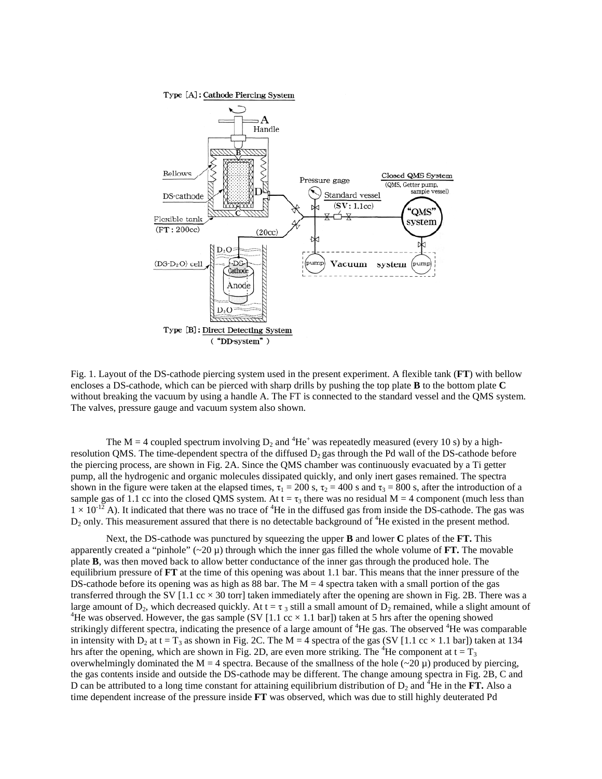

Fig. 1. Layout of the DS-cathode piercing system used in the present experiment. A flexible tank (**FT**) with bellow encloses a DS-cathode, which can be pierced with sharp drills by pushing the top plate **B** to the bottom plate **C** without breaking the vacuum by using a handle A. The FT is connected to the standard vessel and the QMS system. The valves, pressure gauge and vacuum system also shown.

The M = 4 coupled spectrum involving  $D_2$  and <sup>4</sup>He<sup>+</sup> was repeatedly measured (every 10 s) by a highresolution QMS. The time-dependent spectra of the diffused  $D_2$  gas through the Pd wall of the DS-cathode before the piercing process, are shown in Fig. 2A. Since the QMS chamber was continuously evacuated by a Ti getter pump, all the hydrogenic and organic molecules dissipated quickly, and only inert gases remained. The spectra shown in the figure were taken at the elapsed times,  $\tau_1 = 200$  s,  $\tau_2 = 400$  s and  $\tau_3 = 800$  s, after the introduction of a sample gas of 1.1 cc into the closed QMS system. At  $t = \tau_3$  there was no residual M = 4 component (much less than  $1 \times 10^{-12}$  A). It indicated that there was no trace of <sup>4</sup>He in the diffused gas from inside the DS-cathode. The gas was  $D_2$  only. This measurement assured that there is no detectable background of  ${}^4$ He existed in the present method.

Next, the DS-cathode was punctured by squeezing the upper **B** and lower **C** plates of the **FT.** This apparently created a "pinhole"  $(\sim 20 \mu)$  through which the inner gas filled the whole volume of **FT.** The movable plate **B**, was then moved back to allow better conductance of the inner gas through the produced hole. The equilibrium pressure of **FT** at the time of this opening was about 1.1 bar. This means that the inner pressure of the DS-cathode before its opening was as high as 88 bar. The  $M = 4$  spectra taken with a small portion of the gas transferred through the SV  $[1.1 \text{ cc} \times 30 \text{ torr}]$  taken immediately after the opening are shown in Fig. 2B. There was a large amount of  $\bar{D}_2$ , which decreased quickly. At t =  $\tau_3$  still a small amount of  $D_2$  remained, while a slight amount of <sup>4</sup>He was observed. However, the gas sample (SV [1.1 cc  $\times$  1.1 bar]) taken at 5 hrs after the opening showed strikingly different spectra, indicating the presence of a large amount of  ${}^{4}$ He gas. The observed  ${}^{4}$ He was comparable in intensity with  $D_2$  at  $t = T_3$  as shown in Fig. 2C. The M = 4 spectra of the gas (SV [1.1 cc  $\times$  1.1 bar]) taken at 134 hrs after the opening, which are shown in Fig. 2D, are even more striking. The <sup>4</sup>He component at t =  $T_3$ overwhelmingly dominated the M = 4 spectra. Because of the smallness of the hole ( $\sim$ 20  $\mu$ ) produced by piercing, the gas contents inside and outside the DS-cathode may be different. The change amoung spectra in Fig. 2B, C and D can be attributed to a long time constant for attaining equilibrium distribution of  $D_2$  and <sup>4</sup>He in the **FT.** Also a time dependent increase of the pressure inside **FT** was observed, which was due to still highly deuterated Pd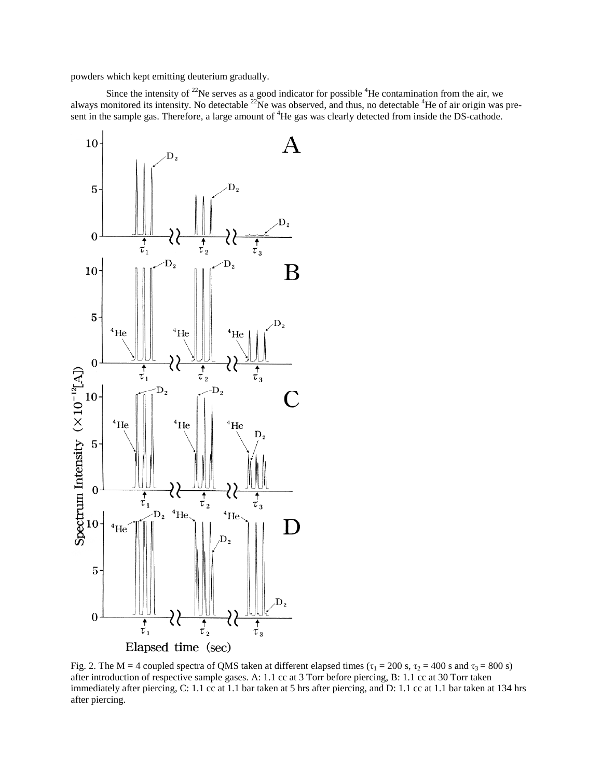powders which kept emitting deuterium gradually.

Since the intensity of <sup>22</sup>Ne serves as a good indicator for possible <sup>4</sup>He contamination from the air, we always monitored its intensity. No detectable  $^{22}$ Ne was observed, and thus, no detectable  $^{4}$ He of air origin was present in the sample gas. Therefore, a large amount of <sup>4</sup>He gas was clearly detected from inside the DS-cathode.



Fig. 2. The M = 4 coupled spectra of QMS taken at different elapsed times ( $\tau_1 = 200$  s,  $\tau_2 = 400$  s and  $\tau_3 = 800$  s) after introduction of respective sample gases. A: 1.1 cc at 3 Torr before piercing, B: 1.1 cc at 30 Torr taken immediately after piercing, C: 1.1 cc at 1.1 bar taken at 5 hrs after piercing, and D: 1.1 cc at 1.1 bar taken at 134 hrs after piercing.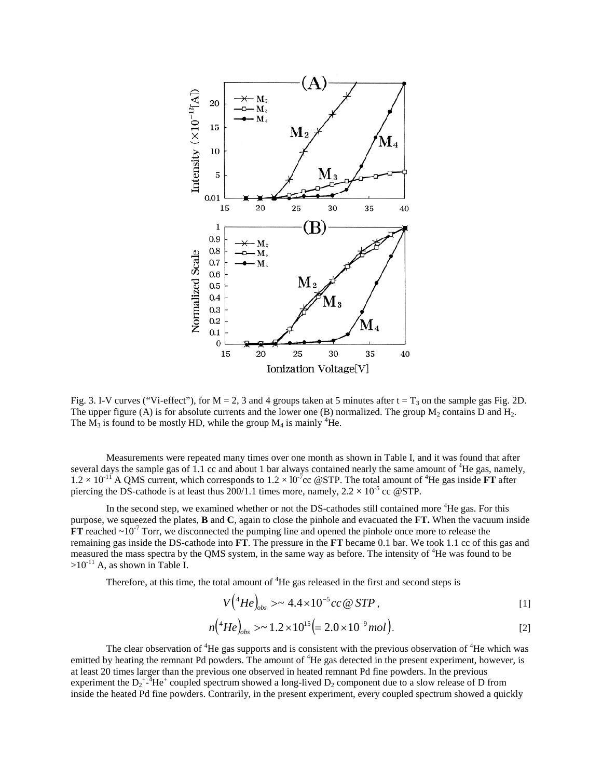

Fig. 3. I-V curves ("Vi-effect"), for  $M = 2$ , 3 and 4 groups taken at 5 minutes after  $t = T_3$  on the sample gas Fig. 2D. The upper figure (A) is for absolute currents and the lower one (B) normalized. The group  $M_2$  contains D and  $H_2$ . The  $M_3$  is found to be mostly HD, while the group  $M_4$  is mainly <sup>4</sup>He.

Measurements were repeated many times over one month as shown in Table I, and it was found that after several days the sample gas of 1.1 cc and about 1 bar always contained nearly the same amount of <sup>4</sup>He gas, namely,  $1.2 \times 10^{-11}$  A QMS current, which corresponds to  $1.2 \times 10^{-7}$ cc @STP. The total amount of <sup>4</sup>He gas inside **FT** after piercing the DS-cathode is at least thus  $200/1.1$  times more, namely,  $2.2 \times 10^{-5}$  cc @STP.

In the second step, we examined whether or not the DS-cathodes still contained more <sup>4</sup>He gas. For this purpose, we squeezed the plates, **B** and **C**, again to close the pinhole and evacuated the **FT.** When the vacuum inside  $FT$  reached  $\sim 10^{-7}$  Torr, we disconnected the pumping line and opened the pinhole once more to release the remaining gas inside the DS-cathode into **FT**. The pressure in the **FT** became 0.1 bar. We took 1.1 cc of this gas and measured the mass spectra by the QMS system, in the same way as before. The intensity of <sup>4</sup>He was found to be  $>10^{-11}$  A, as shown in Table I.

Therefore, at this time, the total amount of  ${}^{4}$ He gas released in the first and second steps is

$$
V(^{4}He)_{obs} > \sim 4.4 \times 10^{-5} cc @STP,
$$
 [1]

$$
n(^{4}He)_{obs} > \sim 1.2 \times 10^{15} (= 2.0 \times 10^{-9} mol).
$$
 [2]

The clear observation of  ${}^{4}$ He gas supports and is consistent with the previous observation of  ${}^{4}$ He which was emitted by heating the remnant Pd powders. The amount of <sup>4</sup>He gas detected in the present experiment, however, is at least 20 times larger than the previous one observed in heated remnant Pd fine powders. In the previous experiment the  $D_2^+$ - $A^4$ He<sup>+</sup> coupled spectrum showed a long-lived  $D_2$  component due to a slow release of D from inside the heated Pd fine powders. Contrarily, in the present experiment, every coupled spectrum showed a quickly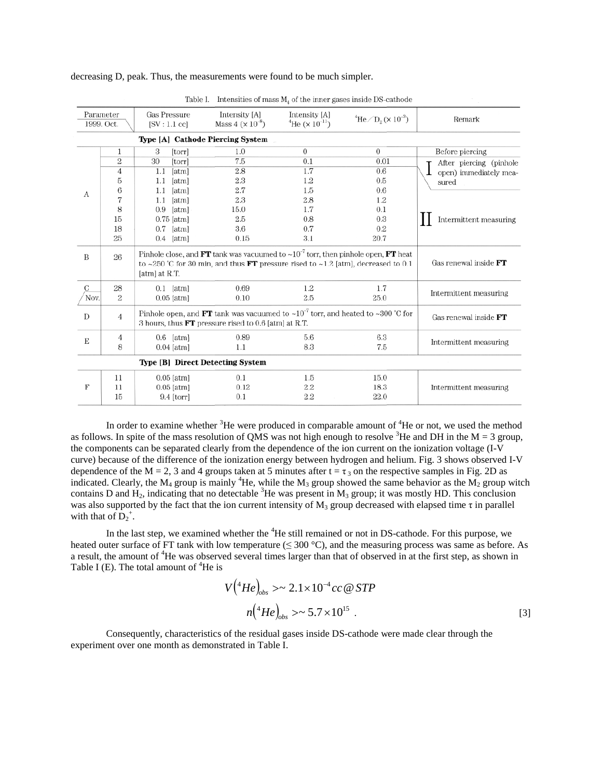decreasing D, peak. Thus, the measurements were found to be much simpler.

|                                  |                |                                                                                                                                                                                                           | Table 1. Intensities of mass $M_4$ of the finite gases inside DS-cathode |                                                           |                                                       |                                                                                      |
|----------------------------------|----------------|-----------------------------------------------------------------------------------------------------------------------------------------------------------------------------------------------------------|--------------------------------------------------------------------------|-----------------------------------------------------------|-------------------------------------------------------|--------------------------------------------------------------------------------------|
| Parameter<br>1999. Oct.          |                | <b>Gas Pressure</b><br>$[SV:1.1$ ccl                                                                                                                                                                      | Intensity [A]<br>Mass $4 (x 10^{-8})$                                    | Intensity [A]<br>$^{4}$ He ( $\times$ 10 <sup>-11</sup> ) | $\mathrm{^4He}$ / D <sub>2</sub> ( $\times 10^{-3}$ ) | Remark                                                                               |
| Type [A] Cathode Piercing System |                |                                                                                                                                                                                                           |                                                                          |                                                           |                                                       |                                                                                      |
| А                                | 1              | 3<br>[torr]                                                                                                                                                                                               | 1.0                                                                      | $\overline{0}$                                            | $\Omega$                                              | Before piercing                                                                      |
|                                  | $\overline{2}$ | 30<br>[torr]                                                                                                                                                                                              | 7.5                                                                      | 0.1                                                       | 0.01                                                  | After piercing (pinhole<br>open) immediately mea-<br>sured<br>Intermittent measuring |
|                                  | 4              | 1.1<br>[atm]                                                                                                                                                                                              | 2.8                                                                      | 1.7                                                       | 0.6                                                   |                                                                                      |
|                                  | 5              | 1.1<br>[atm]                                                                                                                                                                                              | 2.3                                                                      | 1.2                                                       | 0.5                                                   |                                                                                      |
|                                  | 6              | [atm]<br>1.1                                                                                                                                                                                              | 2.7                                                                      | 1.5                                                       | 0.6                                                   |                                                                                      |
|                                  | 7              | [atm]<br>1.1                                                                                                                                                                                              | 2.3                                                                      | 2.8                                                       | 1.2                                                   |                                                                                      |
|                                  | 8              | $0.9$ [atm]                                                                                                                                                                                               | 15.0                                                                     | 1.7                                                       | 0.1                                                   |                                                                                      |
|                                  | 15             | $0.75$ [atm]                                                                                                                                                                                              | 2.5                                                                      | 0.8                                                       | 0.3                                                   |                                                                                      |
|                                  | 18             | $0.7$ [atm]                                                                                                                                                                                               | 3.6                                                                      | 0.7                                                       | 0.2                                                   |                                                                                      |
|                                  | 25             | $0.4$ [atm]                                                                                                                                                                                               | 0.15                                                                     | 3.1                                                       | 20.7                                                  |                                                                                      |
| B                                | 26             | Pinhole close, and FT tank was vacuumed to $\sim 10^{-7}$ torr, then pinhole open, FT heat<br>to ~250 °C for 30 min, and thus <b>FT</b> pressure rised to ~1.2 [atm], decreased to 0.1<br>$[atm]$ at R.T. |                                                                          |                                                           |                                                       | Gas renewal inside FT                                                                |
| C                                | 28             | $0.1$ [atm]                                                                                                                                                                                               | 0.69                                                                     | 1.2                                                       | 1.7                                                   | Intermittent measuring                                                               |
| Nov.                             | $\overline{2}$ | $0.05$ [atm]                                                                                                                                                                                              | 0.10                                                                     | 2.5                                                       | 25.0                                                  |                                                                                      |
| D                                | $\overline{4}$ | Pinhole open, and FT tank was vacuumed to $\sim 10^{-7}$ torr, and heated to $\sim 300$ °C for<br>3 hours, thus $\bf{FT}$ pressure rised to 0.6 [atm] at R.T.                                             |                                                                          |                                                           |                                                       | Gas renewal inside FT                                                                |
| E                                | 4              | $0.6$ [atm]                                                                                                                                                                                               | 0.89                                                                     | 5.6                                                       | 6.3                                                   | Intermittent measuring                                                               |
|                                  | 8              | $0.04$ [atm]                                                                                                                                                                                              | 1.1                                                                      | 8.3                                                       | 7.5                                                   |                                                                                      |
| Type [B] Direct Detecting System |                |                                                                                                                                                                                                           |                                                                          |                                                           |                                                       |                                                                                      |
| F                                | 11             | $0.05$ [atm]                                                                                                                                                                                              | 0.1                                                                      | 1.5                                                       | 15.0                                                  | Intermittent measuring                                                               |
|                                  | 11             | $0.05$ [atm]                                                                                                                                                                                              | 0.12                                                                     | 2.2                                                       | 18.3                                                  |                                                                                      |
|                                  | 15             | $9.4$ [torr]                                                                                                                                                                                              | 0.1                                                                      | 2.2                                                       | 22.0                                                  |                                                                                      |
|                                  |                |                                                                                                                                                                                                           |                                                                          |                                                           |                                                       |                                                                                      |

Table I Intensities of mass M of the inner gases inside DS cathode

In order to examine whether  ${}^{3}$ He were produced in comparable amount of  ${}^{4}$ He or not, we used the method as follows. In spite of the mass resolution of QMS was not high enough to resolve <sup>3</sup>He and DH in the M = 3 group, the components can be separated clearly from the dependence of the ion current on the ionization voltage (I-V curve) because of the difference of the ionization energy between hydrogen and helium. Fig. 3 shows observed I-V dependence of the M = 2, 3 and 4 groups taken at 5 minutes after  $t = \tau_3$  on the respective samples in Fig. 2D as indicated. Clearly, the M<sub>4</sub> group is mainly <sup>4</sup>He, while the M<sub>3</sub> group showed the same behavior as the M<sub>2</sub> group witch contains D and  $H_2$ , indicating that no detectable <sup>3</sup>He was present in M<sub>3</sub> group; it was mostly HD. This conclusion was also supported by the fact that the ion current intensity of  $M_3$  group decreased with elapsed time  $\tau$  in parallel with that of  $D_2^+$ .

In the last step, we examined whether the <sup>4</sup>He still remained or not in DS-cathode. For this purpose, we heated outer surface of FT tank with low temperature ( $\leq 300$  °C), and the measuring process was same as before. As a result, the amount of <sup>4</sup>He was observed several times larger than that of observed in at the first step, as shown in Table I (E). The total amount of  ${}^{4}$ He is

$$
V(^{4}He)_{obs} > \sim 2.1 \times 10^{-4} cc \text{ } @STP
$$
  

$$
n(^{4}He)_{obs} > \sim 5.7 \times 10^{15}
$$
 (3)

Consequently, characteristics of the residual gases inside DS-cathode were made clear through the experiment over one month as demonstrated in Table I.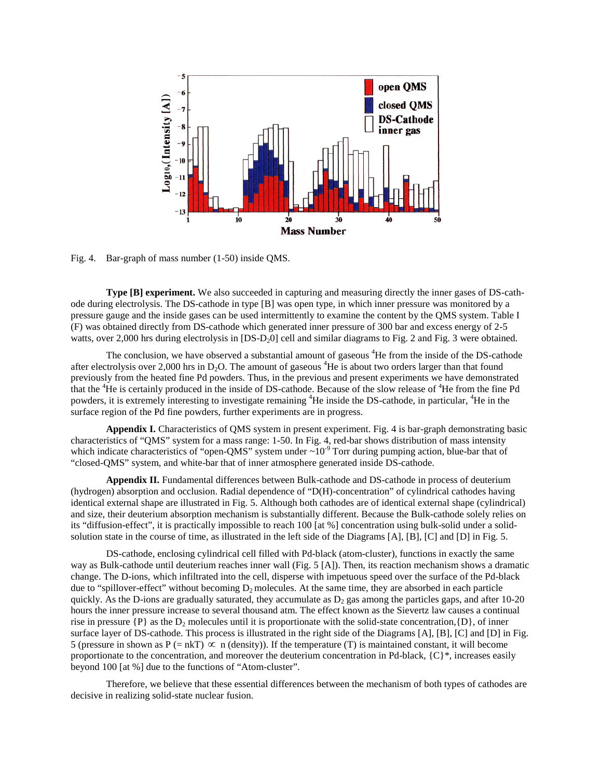

Fig. 4. Bar-graph of mass number (1-50) inside QMS.

**Type [B] experiment.** We also succeeded in capturing and measuring directly the inner gases of DS-cathode during electrolysis. The DS-cathode in type [B] was open type, in which inner pressure was monitored by a pressure gauge and the inside gases can be used intermittently to examine the content by the QMS system. Table I (F) was obtained directly from DS-cathode which generated inner pressure of 300 bar and excess energy of 2-5 watts, over 2,000 hrs during electrolysis in [DS-D<sub>2</sub>0] cell and similar diagrams to Fig. 2 and Fig. 3 were obtained.

The conclusion, we have observed a substantial amount of gaseous <sup>4</sup>He from the inside of the DS-cathode after electrolysis over 2,000 hrs in D<sub>2</sub>O. The amount of gaseous <sup>4</sup>He is about two orders larger than that found previously from the heated fine Pd powders. Thus, in the previous and present experiments we have demonstrated that the <sup>4</sup>He is certainly produced in the inside of DS-cathode. Because of the slow release of <sup>4</sup>He from the fine Pd powders, it is extremely interesting to investigate remaining <sup>4</sup>He inside the DS-cathode, in particular, <sup>4</sup>He in the surface region of the Pd fine powders, further experiments are in progress.

**Appendix I.** Characteristics of QMS system in present experiment. Fig. 4 is bar-graph demonstrating basic characteristics of "QMS" system for a mass range: 1-50. In Fig. 4, red-bar shows distribution of mass intensity which indicate characteristics of "open-QMS" system under  $\sim 10^{-9}$  Torr during pumping action, blue-bar that of "closed-QMS" system, and white-bar that of inner atmosphere generated inside DS-cathode.

**Appendix II.** Fundamental differences between Bulk-cathode and DS-cathode in process of deuterium (hydrogen) absorption and occlusion. Radial dependence of "D(H)-concentration" of cylindrical cathodes having identical external shape are illustrated in Fig. 5. Although both cathodes are of identical external shape (cylindrical) and size, their deuterium absorption mechanism is substantially different. Because the Bulk-cathode solely relies on its "diffusion-effect", it is practically impossible to reach 100 [at %] concentration using bulk-solid under a solidsolution state in the course of time, as illustrated in the left side of the Diagrams [A], [B], [C] and [D] in Fig. 5.

DS-cathode, enclosing cylindrical cell filled with Pd-black (atom-cluster), functions in exactly the same way as Bulk-cathode until deuterium reaches inner wall (Fig. 5 [A]). Then, its reaction mechanism shows a dramatic change. The D-ions, which infiltrated into the cell, disperse with impetuous speed over the surface of the Pd-black due to "spillover-effect" without becoming  $D_2$  molecules. At the same time, they are absorbed in each particle quickly. As the D-ions are gradually saturated, they accumulate as  $D_2$  gas among the particles gaps, and after 10-20 hours the inner pressure increase to several thousand atm. The effect known as the Sievertz law causes a continual rise in pressure  $\{P\}$  as the  $D_2$  molecules until it is proportionate with the solid-state concentration, $\{D\}$ , of inner surface layer of DS-cathode. This process is illustrated in the right side of the Diagrams [A], [B], [C] and [D] in Fig. 5 (pressure in shown as P (= nkT)  $\infty$  n (density)). If the temperature (T) is maintained constant, it will become proportionate to the concentration, and moreover the deuterium concentration in Pd-black,  ${C}^*$ , increases easily beyond 100 [at %] due to the functions of "Atom-cluster".

Therefore, we believe that these essential differences between the mechanism of both types of cathodes are decisive in realizing solid-state nuclear fusion.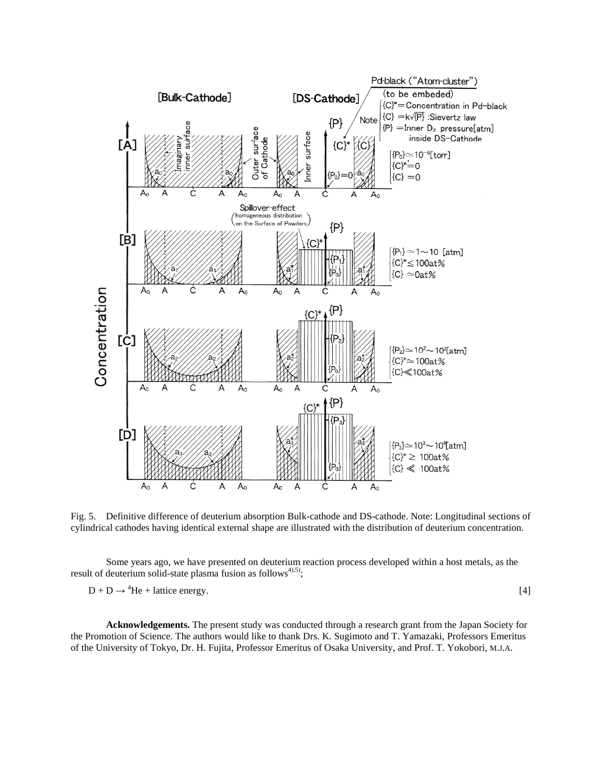

Fig. 5. Definitive difference of deuterium absorption Bulk-cathode and DS-cathode. Note: Longitudinal sections of cylindrical cathodes having identical external shape are illustrated with the distribution of deuterium concentration.

Some years ago, we have presented on deuterium reaction process developed within a host metals, as the result of deuterium solid-state plasma fusion as follows<sup>4),5)</sup>;

 $D + D \rightarrow {}^{4}\text{He} + \text{lattice energy.}$  [4]

**Acknowledgements.** The present study was conducted through a research grant from the Japan Society for the Promotion of Science. The authors would like to thank Drs. K. Sugimoto and T. Yamazaki, Professors Emeritus of the University of Tokyo, Dr. H. Fujita, Professor Emeritus of Osaka University, and Prof. T. Yokobori, M.J.A.